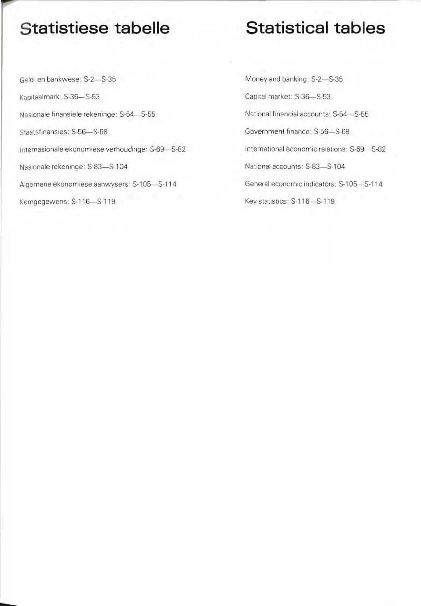## **Statistiese tabelle**

Geld- en bankwese: S-2-S-35 Kapitaalmark: S-36-S-53 Nasionale finansiële rekeninge: S-54-S-55 Staatsfinansies: S-56-S-68 Internasionale ekonomiese verhoudinge: S-69-S-82 Nasionale rekeninge: S-83-S-104 Algemene ekonomiese aanwysers: S-105-S-114 Kerngegewens: S-116-S-119

## **Statistical tables**

Money and banking: S-2-S-35 Capital market: S-36-S-53 National financial accounts: S-54-S-55 Government finance: S-56-S-68 International economic relations: S-69-S-82 National accounts: S-83-S-104 General economic indicators: S-105-S-114 Key statistics: S-116-S-119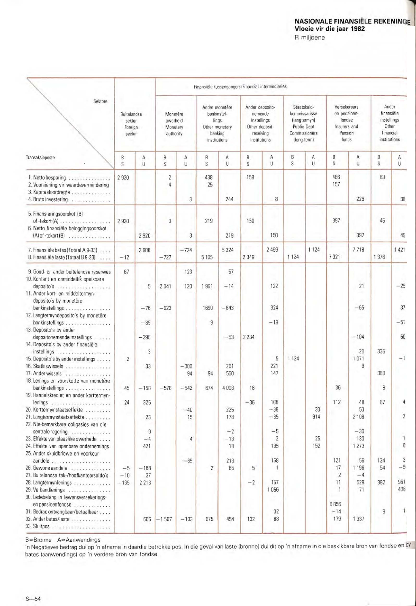## **NASIONALE FINANSIËLE REKENINGE**

R miljoene

|                                                                                                                                                                                  | Finansiële tussengangers/Financial intermediaries |                                |                                               |                |                                                                                     |                          |                                                                                          |                               |                                                                                             |           |                                                                            |                                  |                                                                          |                         |
|----------------------------------------------------------------------------------------------------------------------------------------------------------------------------------|---------------------------------------------------|--------------------------------|-----------------------------------------------|----------------|-------------------------------------------------------------------------------------|--------------------------|------------------------------------------------------------------------------------------|-------------------------------|---------------------------------------------------------------------------------------------|-----------|----------------------------------------------------------------------------|----------------------------------|--------------------------------------------------------------------------|-------------------------|
| Sektore                                                                                                                                                                          | Buitelandse<br>sektor<br>Foreign<br>sector        |                                | Monetêre<br>owerheid<br>Monetary<br>authority |                | Ander monetêre<br>bankinstel-<br>lings<br>Other monetary<br>banking<br>institutions |                          | Ander deposito-<br>nemende<br>instellings<br>Other deposit-<br>receiving<br>institutions |                               | Staatskuld-<br>kommissarisse<br>(langtermyn)<br>Public Dept<br>Commissioners<br>(long-term) |           | Versekeraars<br>en pensioen-<br>fondse<br>Insurers and<br>Pension<br>funds |                                  | Ander<br>finansiële<br>instellings<br>Other<br>financial<br>institutions |                         |
| Transaksieposte                                                                                                                                                                  | B<br>$\overline{S}$                               | A<br>U                         | B<br>S                                        | А<br>U         | Β<br>S                                                                              | Α<br>U                   | B<br>S                                                                                   | Α<br>U                        | B<br>$\overline{S}$                                                                         | Α<br>U    | B<br>$\mathsf{s}$                                                          | Α<br>$\mathsf{U}$                | B<br>$\overline{S}$                                                      | А<br>Ü                  |
| 1. Netto besparing<br>2. Voorsiening vir waardevermindering<br>3. Kapitaaloordragte<br>4. Bruto investering                                                                      | 2920                                              |                                | 2<br>$\Delta$                                 | 3              | 438<br>25                                                                           | 244                      | 158                                                                                      | 8                             |                                                                                             |           | 466<br>157                                                                 | 226                              | 83                                                                       | 38                      |
| 5. Finansieringsoorskot (B)<br>$of$ -tekort $(A)$<br>6. Netto finansiële beleggingsoorskot<br>$(A)$ of -tekort $(B)$                                                             | 2920                                              | 2920                           | 3                                             | 3              | 219                                                                                 | 219                      | 150                                                                                      | 150                           |                                                                                             |           | 397                                                                        | 397                              | 45                                                                       | 45                      |
| 7. Finansiële bates (Totaal A 9-33)<br>8. Finansiële laste (Totaal B 9-33)                                                                                                       | $-12$                                             | 2908                           | $-727$                                        | $-724$         | 5 1 0 5                                                                             | 5324                     | 2 3 4 9                                                                                  | 2 4 9 9                       | 1 1 2 4                                                                                     | 1 1 2 4   | 7321                                                                       | 7718                             | 1376                                                                     | 1 4 2 1                 |
| 9. Goud- en ander buitelandse reserwes<br>10. Kontant en onmiddellik opeisbare<br>11. Ander kort- en middeltermyn-<br>deposito's by monetêre                                     | 67                                                | 5                              | 2041                                          | 123<br>120     | 1961                                                                                | 57<br>$-14$              |                                                                                          | 122                           |                                                                                             |           |                                                                            | 21                               |                                                                          | $-25$                   |
| bankinstellings<br>12. Langtermyndeposito's by monetêre<br>bankinstellings<br>13. Deposito's by ander                                                                            |                                                   | $-76$<br>$-85$                 | $-623$                                        |                | 1690<br>9                                                                           | $-643$                   |                                                                                          | 324<br>$-19$                  |                                                                                             |           |                                                                            | $-65$                            |                                                                          | 37<br>$-51$             |
| depositonemende instellings<br>14. Deposito's by ander finansiële<br>instellings<br>. <i>.</i><br>15. Deposito's by ander instellings<br>16. Skatkiswissels<br>17. Ander wissels | $\overline{c}$                                    | $-298$<br>$\overline{3}$<br>33 |                                               | $-300$<br>94   | 94                                                                                  | $-53$<br>261<br>550      | 2 2 3 4                                                                                  | 5<br>221<br>147               | 1 1 2 4                                                                                     |           |                                                                            | $-104$<br>20<br>1071<br>9        | 335<br>388                                                               | 50<br>$-1$              |
| 18. Lenings en voorskotte van monetêre<br>bankinstellings<br>19. Handelskrediet en ander korttermyn-                                                                             | 45                                                | $-158$                         | $-578$                                        | $-542$         | 674                                                                                 | 4008                     | 16                                                                                       |                               |                                                                                             |           | 36                                                                         |                                  | 8                                                                        |                         |
| lenings<br>20. Korttermynstaatseffekte<br>21. Langtermynstaatseffekte<br>22. Nie-bemarkbare obligasies van die                                                                   | 24                                                | 325<br>23                      |                                               | $-40$<br>15    |                                                                                     | 225<br>178               | $-36$                                                                                    | 108<br>$-38$<br>$-65$         |                                                                                             | 33<br>914 | 112                                                                        | 48<br>53<br>2 1 0 8              | 67                                                                       | $\overline{2}$          |
| sentrale regering<br>23. Effekte van plaaslike owerhede<br>24. Effekte van openbare ondernemings<br>25. Ander skuldbriewe en voorkeur-                                           |                                                   | $-9$<br>$-4$<br>421            |                                               | $\overline{4}$ |                                                                                     | $-2$<br>$-13$<br>18<br>m |                                                                                          | $-5$<br>$\overline{c}$<br>195 |                                                                                             | 25<br>152 |                                                                            | $-30$<br>130<br>1 273            |                                                                          |                         |
| aandele<br>26. Gewone aandele<br>27. Buitelandse tak-/hoofkantoorsaldo's<br>28. Langtermynlenings<br>29. Verbandlenings                                                          | $-5$<br>$-10$<br>$-135$                           | $-188$<br>37<br>2 2 1 3        |                                               | $-65$          | $\overline{c}$                                                                      | 213<br>85                | 5<br>$-2$                                                                                | 168<br>157<br>1056            |                                                                                             |           | 121<br>17<br>$\overline{2}$<br>11                                          | 56<br>1 196<br>$-4$<br>528<br>71 | 134<br>54<br>382                                                         | 3<br>$-5$<br>961<br>438 |
| 30. Ledebelang in lewensversekerings-<br>en pensioenfondse<br>31. Bedrae ontvangbaar/betaalbaar<br>32. Ander bates/laste                                                         |                                                   | 666                            | $-1567$                                       | $-133$         | 675                                                                                 | 454                      | 132                                                                                      | 32<br>88                      |                                                                                             |           | 6856<br>$-14$<br>179                                                       | 1 3 3 7                          | $\, 8$                                                                   |                         |

B=Bronne A=Aanwendings

'n Negatiewe bedrag dui op 'n afname in daardie betrokke pos. In die geval van laste (bronne) dui dit op 'n afname in die beskikbare bron van fondse en by bates (aanwendings) op 'n verdere bron van fondse.